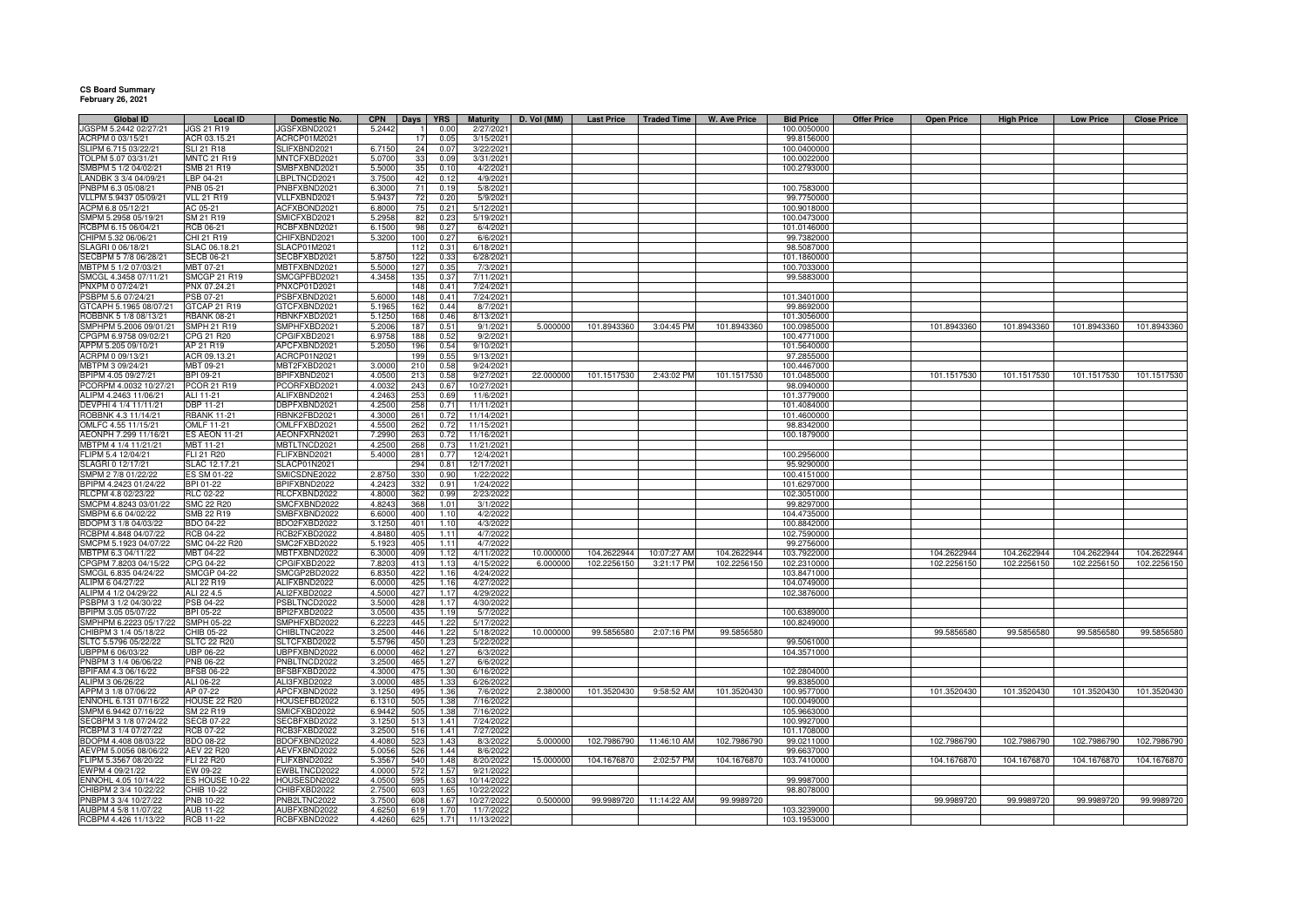## **CS Board Summary February 26, 2021**

| <b>Global ID</b>                                | <b>Local ID</b>                          | Domestic No.                 | <b>CPN</b>       | Days       | <b>YRS</b>    | <b>Maturity</b>       | D. Vol (MM) | <b>Last Price</b> | <b>Traded Time</b> | <b>W. Ave Price</b> | <b>Bid Price</b>           | <b>Offer Price</b> | <b>Open Price</b> | <b>High Price</b> | <b>Low Price</b> | <b>Close Price</b> |
|-------------------------------------------------|------------------------------------------|------------------------------|------------------|------------|---------------|-----------------------|-------------|-------------------|--------------------|---------------------|----------------------------|--------------------|-------------------|-------------------|------------------|--------------------|
| JGSPM 5.2442 02/27/21                           | <b>JGS 21 R19</b>                        | JGSFXBND2021                 | 5.2442           |            | 0.00          | 2/27/202              |             |                   |                    |                     | 100.0050000                |                    |                   |                   |                  |                    |
| ACRPM 0 03/15/21                                | ACR 03.15.21                             | ACRCP01M2021                 |                  | 17         | 0.05          | 3/15/2021             |             |                   |                    |                     | 99.8156000                 |                    |                   |                   |                  |                    |
| SLIPM 6.715 03/22/21<br>TOLPM 5.07 03/31/21     | <b>SLI 21 R18</b><br><b>MNTC 21 R19</b>  | SLIFXBND2021<br>MNTCFXBD2021 | 6.7150<br>5.0700 | 24<br>33   | 0.07<br>0.09  | 3/22/2021             |             |                   |                    |                     | 100.0400000<br>100.0022000 |                    |                   |                   |                  |                    |
| SMBPM 5 1/2 04/02/21                            | SMB 21 R19                               | SMBFXBND2021                 | 5.5000           | 35         | 0.10          | 3/31/2021<br>4/2/2021 |             |                   |                    |                     | 100.2793000                |                    |                   |                   |                  |                    |
| LANDBK 3 3/4 04/09/21                           | LBP 04-21                                | LBPLTNCD2021                 | 3.7500           | 42         | 0.12          | 4/9/2021              |             |                   |                    |                     |                            |                    |                   |                   |                  |                    |
| PNBPM 6.3 05/08/21                              | PNB 05-21                                | PNBFXBND2021                 | 6.3000           |            | 0.19          | 5/8/2021              |             |                   |                    |                     | 100.7583000                |                    |                   |                   |                  |                    |
| VLLPM 5.9437 05/09/21                           | <b>VLL 21 R19</b>                        | VLLFXBND2021                 | 5.943            |            | 0.20          | 5/9/2021              |             |                   |                    |                     | 99.7750000                 |                    |                   |                   |                  |                    |
| ACPM 6.8 05/12/21                               | AC 05-21                                 | ACFXBOND2021                 | 6.8000           |            | $0.2^{\circ}$ | 5/12/2021             |             |                   |                    |                     | 100.9018000                |                    |                   |                   |                  |                    |
| SMPM 5.2958 05/19/21                            | SM 21 R19                                | SMICFXBD2021                 | 5.2958           | 82         | 0.23          | 5/19/2021             |             |                   |                    |                     | 100.0473000                |                    |                   |                   |                  |                    |
| RCBPM 6.15 06/04/21                             | RCB 06-21                                | RCBFXBND2021                 | 6.1500           | 98         | 0.27          | 6/4/2021              |             |                   |                    |                     | 101.0146000                |                    |                   |                   |                  |                    |
| CHIPM 5.32 06/06/21                             | CHI 21 R19                               | CHIFXBND2021                 | 5.3200           | 100        | 0.27          | 6/6/2021              |             |                   |                    |                     | 99.7382000                 |                    |                   |                   |                  |                    |
| SLAGRI 0 06/18/21                               | SLAC 06.18.21                            | SLACP01M2021                 |                  | 112        | 0.31          | 6/18/202              |             |                   |                    |                     | 98.5087000                 |                    |                   |                   |                  |                    |
| SECBPM 5 7/8 06/28/21                           | <b>SECB 06-21</b>                        | SECBFXBD2021                 | 5.8750           | 122        | 0.33          | 6/28/2021             |             |                   |                    |                     | 101.1860000                |                    |                   |                   |                  |                    |
| MBTPM 5 1/2 07/03/21                            | MBT 07-21                                | MBTFXBND2021                 | 5.5000           | 127        | 0.35          | 7/3/2021              |             |                   |                    |                     | 100.7033000                |                    |                   |                   |                  |                    |
| SMCGL 4.3458 07/11/21                           | SMCGP 21 R19                             | SMCGPFBD2021                 | 4.3458           |            | 0.37          | 7/11/2021             |             |                   |                    |                     | 99.5883000                 |                    |                   |                   |                  |                    |
| PNXPM 0 07/24/21                                | PNX 07.24.21                             | PNXCP01D2021                 |                  | 148        | 0.41          | 7/24/2021             |             |                   |                    |                     |                            |                    |                   |                   |                  |                    |
| PSBPM 5.6 07/24/21                              | PSB 07-21                                | PSBFXBND2021                 | 5.6000           | 148        | 0.41          | 7/24/2021             |             |                   |                    |                     | 101.3401000                |                    |                   |                   |                  |                    |
| GTCAPH 5.1965 08/07/21                          | GTCAP 21 R19                             | GTCFXBND2021                 | 5.1965           | 162        | 0.44          | 8/7/2021              |             |                   |                    |                     | 99.8692000                 |                    |                   |                   |                  |                    |
| ROBBNK 5 1/8 08/13/21<br>SMPHPM 5.2006 09/01/21 | <b>RBANK 08-21</b><br><b>SMPH 21 R19</b> | RBNKFXBD2021<br>SMPHFXBD2021 | 5.1250<br>5.2006 | 168<br>18  | 0.46<br>0.51  | 8/13/2021<br>9/1/2021 | 5.000000    | 101.8943360       | 3:04:45 PM         | 101.8943360         | 101.3056000<br>100.0985000 |                    | 101.8943360       | 101.8943360       |                  |                    |
| CPGPM 6.9758 09/02/21                           | CPG 21 R20                               | CPGIFXBD2021                 | 6.9758           | 188        | 0.52          | 9/2/2021              |             |                   |                    |                     | 100.4771000                |                    |                   |                   | 101.8943360      | 101.8943360        |
| APPM 5.205 09/10/21                             | AP 21 R19                                | APCFXBND2021                 | 5.2050           | 196        | 0.54          | 9/10/2021             |             |                   |                    |                     | 101.5640000                |                    |                   |                   |                  |                    |
| ACRPM 0 09/13/21                                | ACR 09.13.21                             | ACRCP01N2021                 |                  | 199        | 0.55          | 9/13/2021             |             |                   |                    |                     | 97.2855000                 |                    |                   |                   |                  |                    |
| MBTPM 3 09/24/21                                | MBT 09-21                                | MBT2FXBD2021                 | 3.0000           | 210        | 0.58          | 9/24/2021             |             |                   |                    |                     | 100.4467000                |                    |                   |                   |                  |                    |
| BPIPM 4.05 09/27/21                             | BPI 09-21                                | BPIFXBND2021                 | 4.0500           | 213        | 0.58          | 9/27/2021             | 22.000000   | 101.1517530       | 2:43:02 PM         | 101.1517530         | 101.0485000                |                    | 101.1517530       | 101.1517530       | 101.1517530      | 101.1517530        |
| PCORPM 4.0032 10/27/21                          | <b>PCOR 21 R19</b>                       | PCORFXBD2021                 | 4.0032           | 243        | 0.67          | 10/27/2021            |             |                   |                    |                     | 98.0940000                 |                    |                   |                   |                  |                    |
| ALIPM 4.2463 11/06/21                           | ALI 11-21                                | ALIFXBND2021                 | 4.2463           | 253        | 0.69          | 11/6/2021             |             |                   |                    |                     | 101.3779000                |                    |                   |                   |                  |                    |
| DEVPHI 4 1/4 11/11/21                           | <b>DBP 11-21</b>                         | DBPFXBND2021                 | 4.2500           | 258        | 0.71          | 11/11/2021            |             |                   |                    |                     | 101.4084000                |                    |                   |                   |                  |                    |
| ROBBNK 4.3 11/14/21                             | <b>RBANK 11-21</b>                       | RBNK2FBD2021                 | 4.3000           | 261        | 0.72          | 11/14/2021            |             |                   |                    |                     | 101.4600000                |                    |                   |                   |                  |                    |
| OMLFC 4.55 11/15/21                             | OMLF 11-21                               | OMLFFXBD2021                 | 4.5500           | 262        | 0.72          | 11/15/2021            |             |                   |                    |                     | 98.8342000                 |                    |                   |                   |                  |                    |
| AEONPH 7.299 11/16/21                           | <b>ES AEON 11-21</b>                     | AEONFXRN2021                 | 7.2990           | 263        | 0.72          | 11/16/2021            |             |                   |                    |                     | 100.1879000                |                    |                   |                   |                  |                    |
| MBTPM 4 1/4 11/21/21                            | MBT 11-21                                | MBTLTNCD2021                 | 4.2500           | 268        | 0.73          | 11/21/2021            |             |                   |                    |                     |                            |                    |                   |                   |                  |                    |
| FLIPM 5.4 12/04/21                              | FLI 21 R20                               | FLIFXBND2021                 | 5.4000           | 281        | 0.77          | 12/4/2021             |             |                   |                    |                     | 100.2956000                |                    |                   |                   |                  |                    |
| SLAGRI 0 12/17/21                               | SLAC 12.17.21                            | SLACP01N2021                 |                  | 294        | 0.81          | 12/17/2021            |             |                   |                    |                     | 95.9290000                 |                    |                   |                   |                  |                    |
| SMPM 2 7/8 01/22/22                             | ES SM 01-22                              | SMICSDNE2022                 | 2.8750           | 330        | 0.90          | 1/22/2022             |             |                   |                    |                     | 100.4151000                |                    |                   |                   |                  |                    |
| BPIPM 4.2423 01/24/22                           | BPI 01-22                                | BPIFXBND2022                 | 4.2423           | 332        | 0.91          | 1/24/2022             |             |                   |                    |                     | 101.6297000                |                    |                   |                   |                  |                    |
| RLCPM 4.8 02/23/22                              | RLC 02-22                                | RLCFXBND2022                 | 4.800            | 362        | 0.99          | 2/23/2022             |             |                   |                    |                     | 102.3051000                |                    |                   |                   |                  |                    |
| SMCPM 4.8243 03/01/22                           | <b>SMC 22 R20</b>                        | SMCFXBND2022                 | 4.8243           | 368        | 1.01<br>1.10  | 3/1/2022              |             |                   |                    |                     | 99.8297000                 |                    |                   |                   |                  |                    |
| SMBPM 6.6 04/02/22<br>BDOPM 3 1/8 04/03/22      | SMB 22 R19<br>BDO 04-22                  | SMBFXBND2022                 | 6.6000           | 400<br>401 | 1.10          | 4/2/2022              |             |                   |                    |                     | 104.4735000                |                    |                   |                   |                  |                    |
| RCBPM 4.848 04/07/22                            | <b>RCB 04-22</b>                         | BDO2FXBD2022<br>RCB2FXBD2022 | 3.1250<br>4.8480 | 405        | 1.11          | 4/3/2022<br>4/7/2022  |             |                   |                    |                     | 100.8842000<br>102.7590000 |                    |                   |                   |                  |                    |
| SMCPM 5.1923 04/07/22                           | SMC 04-22 R20                            | SMC2FXBD2022                 | 5.1923           | 405        | 1 1 1         | 4/7/2022              |             |                   |                    |                     | 99.2756000                 |                    |                   |                   |                  |                    |
| MBTPM 6.3 04/11/22                              | MBT 04-22                                | MBTFXBND2022                 | 6.300            | 409        | 1.12          | 4/11/2022             | 10.000000   | 104.2622944       | 10:07:27 AM        | 104.2622944         | 103.7922000                |                    | 104.2622944       | 104.2622944       | 104.2622944      | 104.2622944        |
| CPGPM 7.8203 04/15/22                           | CPG 04-22                                | CPGIFXBD2022                 | 7.8203           | 413        | 1.13          | 4/15/2022             | 6.000000    | 102.2256150       | 3:21:17 PM         | 102.2256150         | 102.2310000                |                    | 102.2256150       | 102.2256150       | 102.2256150      | 102.2256150        |
| SMCGL 6.835 04/24/22                            | SMCGP 04-22                              | SMCGP2BD2022                 | 6.835            | 42'        | 1.16          | 4/24/2022             |             |                   |                    |                     | 103.8471000                |                    |                   |                   |                  |                    |
| ALIPM 6 04/27/22                                | ALI 22 R19                               | ALIFXBND2022                 | 6.000            | 42         | 1.1(          | 4/27/2022             |             |                   |                    |                     | 104.0749000                |                    |                   |                   |                  |                    |
| ALIPM 4 1/2 04/29/22                            | ALI 22 4.5                               | ALI2FXBD2022                 | 4.5000           | 427        | 1.17          | 4/29/2022             |             |                   |                    |                     | 102.3876000                |                    |                   |                   |                  |                    |
| PSBPM 3 1/2 04/30/22                            | PSB 04-22                                | PSBLTNCD2022                 | 3.5000           | 428        | 1.17          | 4/30/2022             |             |                   |                    |                     |                            |                    |                   |                   |                  |                    |
| BPIPM 3.05 05/07/22                             | BPI 05-22                                | BPI2FXBD2022                 | 3.0500           | 435        | 1.19          | 5/7/2022              |             |                   |                    |                     | 100.6389000                |                    |                   |                   |                  |                    |
| SMPHPM 6.2223 05/17/22                          | <b>SMPH 05-22</b>                        | SMPHFXBD2022                 | 6.2223           | 445        | 1.22          | 5/17/2022             |             |                   |                    |                     | 100.8249000                |                    |                   |                   |                  |                    |
| CHIBPM 3 1/4 05/18/22                           | CHIB 05-22                               | CHIBLTNC2022                 | 3.2500           | 446        | 1.22          | 5/18/2022             | 10.000000   | 99.5856580        | 2:07:16 PM         | 99.5856580          |                            |                    | 99.5856580        | 99.5856580        | 99.5856580       | 99.5856580         |
| SLTC 5.5796 05/22/22                            | <b>SLTC 22 R20</b>                       | SLTCFXBD2022                 | 5.5796           | 450        | 1.23          | 5/22/2022             |             |                   |                    |                     | 99.5061000                 |                    |                   |                   |                  |                    |
| UBPPM 6 06/03/22                                | <b>UBP 06-22</b>                         | UBPFXBND2022                 | 6.0000           | 462        | 1.27          | 6/3/2022              |             |                   |                    |                     | 104.3571000                |                    |                   |                   |                  |                    |
| PNBPM 3 1/4 06/06/22                            | PNB 06-22                                | PNBLTNCD2022                 | 3.2500           | 465        | 1.27          | 6/6/2022              |             |                   |                    |                     |                            |                    |                   |                   |                  |                    |
| BPIFAM 4.3 06/16/22                             | <b>BFSB 06-22</b>                        | BFSBFXBD2022                 | 4.3000           | 475        | 1.3C          | 6/16/2022             |             |                   |                    |                     | 102.2804000                |                    |                   |                   |                  |                    |
| ALIPM 3 06/26/22                                | ALI 06-22<br>AP 07-22                    | ALI3FXBD2022<br>APCFXBND2022 | 3.0000           | 485        | 1.33          | 6/26/2022             | 2.380000    |                   |                    |                     | 99.8385000<br>100.9577000  |                    | 101.3520430       |                   |                  |                    |
| APPM 3 1/8 07/06/22<br>ENNOHL 6.131 07/16/22    | <b>HOUSE 22 R20</b>                      | HOUSEFBD2022                 | 3.1250<br>6.131  | 495<br>505 | 1.36<br>1.38  | 7/6/2022<br>7/16/2022 |             | 101.3520430       | 9:58:52 AM         | 101.3520430         | 100.0049000                |                    |                   | 101.3520430       | 101.3520430      | 101.3520430        |
| SMPM 6.9442 07/16/22                            | SM 22 R19                                | SMICFXBD2022                 | 6.9442           | 505        | 1.38          | 7/16/2022             |             |                   |                    |                     | 105.9663000                |                    |                   |                   |                  |                    |
| SECBPM 3 1/8 07/24/22                           | <b>SECB 07-22</b>                        | SECBFXBD2022                 | 3.1250           | 513        | 1.41          | 7/24/2022             |             |                   |                    |                     | 100.9927000                |                    |                   |                   |                  |                    |
| RCBPM 3 1/4 07/27/22                            | RCB 07-22                                | RCB3FXBD2022                 | 3.250            | 516        | 1.41          | 7/27/202              |             |                   |                    |                     | 101.1708000                |                    |                   |                   |                  |                    |
| BDOPM 4.408 08/03/22                            | <b>BDO 08-22</b>                         | BDOFXBND2022                 | 4.408            | 523        | 1.43          | 8/3/2022              | 5.000000    | 102.7986790       | 11:46:10 AM        | 102.7986790         | 99.0211000                 |                    | 102.7986790       | 102.7986790       | 102.7986790      | 102.7986790        |
| AEVPM 5.0056 08/06/22                           | AEV 22 R20                               | AEVFXBND2022                 | 5.0056           | 526        | 1.44          | 8/6/2022              |             |                   |                    |                     | 99.6637000                 |                    |                   |                   |                  |                    |
| FLIPM 5.3567 08/20/22                           | FLI 22 R20                               | FLIFXBND2022                 | 5.356            | 540        | 1.48          | 8/20/2022             | 15.000000   | 104.1676870       | 2:02:57 PM         | 104.1676870         | 103.7410000                |                    | 104.1676870       | 104.1676870       | 104.1676870      | 104.1676870        |
| EWPM 4 09/21/22                                 | EW 09-22                                 | EWBLTNCD2022                 | 4.0000           | 572        | 1.57          | 9/21/2022             |             |                   |                    |                     |                            |                    |                   |                   |                  |                    |
| ENNOHL 4.05 10/14/22                            | ES HOUSE 10-22                           | HOUSESDN2022                 | 4.0500           | 595        | 1.63          | 10/14/2022            |             |                   |                    |                     | 99.9987000                 |                    |                   |                   |                  |                    |
| CHIBPM 2 3/4 10/22/22                           | CHIB 10-22                               | CHIBFXBD2022                 | 2.7500           | 603        | 1.65          | 10/22/2022            |             |                   |                    |                     | 98.8078000                 |                    |                   |                   |                  |                    |
| PNBPM 3 3/4 10/27/22                            | PNB 10-22                                | PNB2LTNC2022                 | 3.7500           | 608        | 1.67          | 10/27/2022            | 0.500000    | 99.9989720        | 11:14:22 AM        | 99.9989720          |                            |                    | 99.9989720        | 99.9989720        | 99.9989720       | 99.9989720         |
| AUBPM 4 5/8 11/07/22                            | AUB 11-22                                | AUBFXBND2022                 | 4.6250           | 619        | 1.70          | 11/7/2022             |             |                   |                    |                     | 103.3239000                |                    |                   |                   |                  |                    |
| RCBPM 4.426 11/13/22                            | <b>RCB 11-22</b>                         | RCBFXBND2022                 | 4.4260           | 625        | 1.71          | 11/13/2022            |             |                   |                    |                     | 103.1953000                |                    |                   |                   |                  |                    |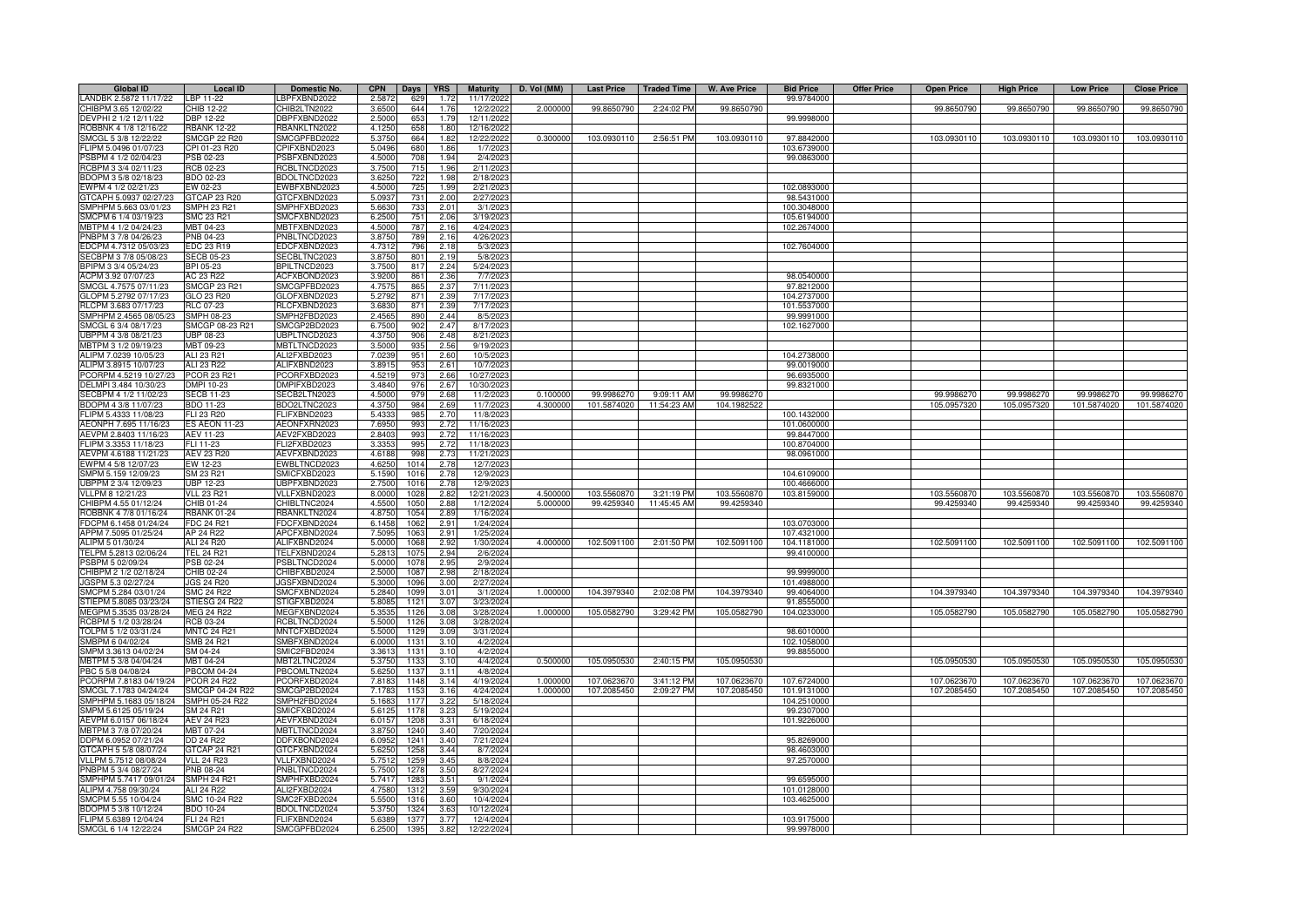| <b>Global ID</b>                             | <b>Local ID</b>                          | <b>Domestic No.</b> | <b>CPN</b>     | Days         | <b>YRS</b>       | <b>Maturity</b>       | D. Vol (MM) | <b>Last Price</b> | <b>Traded Time</b> | <b>W. Ave Price</b> | <b>Bid Price</b> | <b>Offer Price</b> | <b>Open Price</b> | <b>High Price</b> | <b>Low Price</b> | <b>Close Price</b> |
|----------------------------------------------|------------------------------------------|---------------------|----------------|--------------|------------------|-----------------------|-------------|-------------------|--------------------|---------------------|------------------|--------------------|-------------------|-------------------|------------------|--------------------|
| LANDBK 2.5872 11/17/22                       | LBP 11-22                                | BPFXBND2022         | 2.5872         | 629          | 1.72             | 11/17/2022            |             |                   |                    |                     | 99.9784000       |                    |                   |                   |                  |                    |
| CHIBPM 3.65 12/02/22                         | CHIB 12-22                               | CHIB2LTN2022        | 3.6500         | 644          | 1.76             | 12/2/2022             | 2.000000    | 99.8650790        | 2:24:02 PM         | 99.8650790          |                  |                    | 99.8650790        | 99.8650790        | 99.8650790       | 99.8650790         |
| DEVPHI 2 1/2 12/11/22                        | DBP 12-22                                | DBPFXBND2022        | 2.5000         | 653          | 1.79             | 12/11/2022            |             |                   |                    |                     | 99.9998000       |                    |                   |                   |                  |                    |
| ROBBNK 4 1/8 12/16/22                        | <b>RBANK 12-22</b>                       | RBANKLTN2022        | 4.1250         | 658          | 1.80             | 12/16/2022            |             |                   |                    |                     |                  |                    |                   |                   |                  |                    |
| SMCGL 5 3/8 12/22/22                         | <b>SMCGP 22 R20</b>                      | SMCGPFBD2022        | 5.375          | 664          | 1.82             | 12/22/202             | 0.300000    | 103.0930110       | 2:56:51 PM         | 103.0930110         | 97.8842000       |                    | 103.0930110       | 103.0930110       | 103.0930110      | 103.0930110        |
| FLIPM 5.0496 01/07/23                        | CPI 01-23 R20                            | CPIFXBND2023        | 5.049          | 680          | 1.86             | 1/7/202               |             |                   |                    |                     | 103.6739000      |                    |                   |                   |                  |                    |
| SBPM 4 1/2 02/04/23                          | PSB 02-23                                | SBFXBND2023         | 4.5000         | 708          | 1.94             | 2/4/202               |             |                   |                    |                     | 99.0863000       |                    |                   |                   |                  |                    |
| RCBPM 3 3/4 02/11/23                         | RCB 02-23                                | RCBLTNCD2023        | 3.7500         | 715          | 1.96             | 2/11/2023             |             |                   |                    |                     |                  |                    |                   |                   |                  |                    |
| BDOPM 3 5/8 02/18/23                         | BDO 02-23                                | BDOLTNCD2023        | 3.6250         | 722          | 1.98             | 2/18/2023             |             |                   |                    |                     |                  |                    |                   |                   |                  |                    |
| EWPM 4 1/2 02/21/23                          | EW 02-23                                 | EWBFXBND2023        | 4.5000         | 725          | 1.99             | 2/21/2023             |             |                   |                    |                     | 102.0893000      |                    |                   |                   |                  |                    |
| GTCAPH 5.0937 02/27/23                       | GTCAP 23 R20                             | GTCFXBND2023        | 5.093          | 731          | 2.00             | 2/27/202              |             |                   |                    |                     | 98.5431000       |                    |                   |                   |                  |                    |
| SMPHPM 5.663 03/01/23                        | <b>SMPH 23 R21</b>                       | SMPHFXBD2023        | 5.6630         | 733          | 2.01             | 3/1/202               |             |                   |                    |                     | 100.3048000      |                    |                   |                   |                  |                    |
| SMCPM 6 1/4 03/19/23                         | <b>SMC 23 R21</b>                        | SMCFXBND2023        | 6.2500         | 751          | 2.06             | 3/19/202              |             |                   |                    |                     | 105.6194000      |                    |                   |                   |                  |                    |
| MBTPM 4 1/2 04/24/23                         | MBT 04-23                                | MBTFXBND2023        | 4.5000         | 787          | 2.16             | 4/24/202              |             |                   |                    |                     | 102.2674000      |                    |                   |                   |                  |                    |
| PNBPM 3 7/8 04/26/23                         | PNB 04-23                                | PNBLTNCD2023        | 3.8750         | 789          | 2.16             | 4/26/202              |             |                   |                    |                     |                  |                    |                   |                   |                  |                    |
| EDCPM 4.7312 05/03/23                        | EDC 23 R19                               | EDCFXBND2023        | 4.7312         | 796          | 2.18             | 5/3/202               |             |                   |                    |                     | 102.7604000      |                    |                   |                   |                  |                    |
| SECBPM 3 7/8 05/08/23                        | <b>SECB 05-23</b>                        | SECBLTNC2023        | 3.8750         | 801          | 2.19             | 5/8/202               |             |                   |                    |                     |                  |                    |                   |                   |                  |                    |
| BPIPM 3 3/4 05/24/23                         | BPI 05-23                                | BPILTNCD2023        | 3.7500         | 817          | 2.24             | 5/24/202              |             |                   |                    |                     |                  |                    |                   |                   |                  |                    |
| ACPM 3.92 07/07/23                           | AC 23 R22                                | ACFXBOND2023        | 3.920          | 861          | 2.36             | 7/7/202               |             |                   |                    |                     | 98.0540000       |                    |                   |                   |                  |                    |
| SMCGL 4.7575 07/11/23                        | <b>SMCGP 23 R21</b>                      | SMCGPFBD2023        | 4.757          | 865          | 2.37             | 7/11/2023             |             |                   |                    |                     | 97.8212000       |                    |                   |                   |                  |                    |
| GLOPM 5.2792 07/17/23                        | GLO 23 R20                               | GLOFXBND2023        | 5.279          | 871          | 2.39             | 7/17/2023             |             |                   |                    |                     | 104.2737000      |                    |                   |                   |                  |                    |
| RLCPM 3.683 07/17/23                         | RLC 07-23                                | RLCFXBND2023        | 3.683          | 87           | 2.39             | 7/17/202              |             |                   |                    |                     | 101.5537000      |                    |                   |                   |                  |                    |
| SMPHPM 2.4565 08/05/23                       | <b>SMPH 08-23</b>                        | SMPH2FBD2023        | 2.456          | 890          | 2.44             | 8/5/202               |             |                   |                    |                     | 99.9991000       |                    |                   |                   |                  |                    |
| SMCGL 6 3/4 08/17/23                         | SMCGP 08-23 R21                          | SMCGP2BD2023        | 6.750          | 902          | 2.47             | 8/17/202              |             |                   |                    |                     | 102.1627000      |                    |                   |                   |                  |                    |
| JBPPM 4 3/8 08/21/23                         | <b>UBP 08-23</b>                         | UBPLTNCD2023        | 4.375          | 906          | 2.48             | 8/21/202              |             |                   |                    |                     |                  |                    |                   |                   |                  |                    |
| MBTPM 3 1/2 09/19/23                         | MBT 09-23                                | MBTLTNCD2023        | 3.5000         | 935          | 2.56             | 9/19/202              |             |                   |                    |                     |                  |                    |                   |                   |                  |                    |
| ALIPM 7.0239 10/05/23                        | ALI 23 R21                               | ALI2FXBD2023        | 7.023          | 951          | 2.60             | 10/5/202              |             |                   |                    |                     | 104.2738000      |                    |                   |                   |                  |                    |
| ALIPM 3.8915 10/07/23                        | ALI 23 R22                               | ALIFXBND2023        | 3.8915         | 953          | 2.61             | 10/7/202              |             |                   |                    |                     | 99.0019000       |                    |                   |                   |                  |                    |
| PCORPM 4.5219 10/27/23                       | <b>PCOR 23 R21</b>                       | PCORFXBD2023        | 4.5219         | 973          | 2.66             | 10/27/202             |             |                   |                    |                     | 96.6935000       |                    |                   |                   |                  |                    |
| DELMPI 3.484 10/30/23                        | DMPI 10-23                               | DMPIFXBD2023        | 3.4840         | 976          | 2.67             | 10/30/2023            |             |                   |                    |                     | 99.8321000       |                    |                   |                   |                  |                    |
| SECBPM 4 1/2 11/02/23                        | <b>SECB 11-23</b>                        | SECB2LTN2023        | 4.5000         | 979          | 2.68             | 11/2/2023             | 0.100000    | 99.9986270        | 9:09:11 AM         | 99.9986270          |                  |                    | 99.9986270        | 99.9986270        | 99.9986270       | 99.9986270         |
| BDOPM 4 3/8 11/07/23                         | BDO 11-23                                | BDO2LTNC2023        | 4.375          | 984          | 2.69             | 11/7/202              | 4.300000    | 101.5874020       | 11:54:23 AM        | 104.1982522         |                  |                    | 105.0957320       | 105.0957320       | 101.5874020      | 101.5874020        |
| FLIPM 5.4333 11/08/23                        | FLI 23 R20                               | FLIFXBND2023        | 5.433          | 985          | 2.70             | 11/8/202              |             |                   |                    |                     | 100.1432000      |                    |                   |                   |                  |                    |
| AEONPH 7.695 11/16/23                        | <b>ES AEON 11-23</b>                     | AEONFXRN2023        | 7.695          | 993          | 2.72             | 11/16/202             |             |                   |                    |                     | 101.0600000      |                    |                   |                   |                  |                    |
| AEVPM 2.8403 11/16/23                        | <b>AEV 11-23</b>                         | AEV2FXBD2023        | 2.840          | 993          | 2.72             | 11/16/2023            |             |                   |                    |                     | 99.8447000       |                    |                   |                   |                  |                    |
| FLIPM 3.3353 11/18/23                        | FLI 11-23                                | <b>LI2FXBD2023</b>  | 3.335          | 995          | 2.72             | 11/18/2023            |             |                   |                    |                     | 100.8704000      |                    |                   |                   |                  |                    |
| AEVPM 4.6188 11/21/23                        | AEV 23 R20                               | <b>AEVFXBND2023</b> | 4.618          | 998          | 2.73             | 11/21/202             |             |                   |                    |                     | 98.0961000       |                    |                   |                   |                  |                    |
| EWPM 4 5/8 12/07/23                          | EW 12-23                                 | EWBLTNCD2023        | 4.625          | $101 -$      | 2.78             | 12/7/202              |             |                   |                    |                     |                  |                    |                   |                   |                  |                    |
| SMPM 5.159 12/09/23                          | SM 23 R21                                | SMICFXBD2023        | 5.159          | 1016         | 2.78             | 12/9/202              |             |                   |                    |                     | 104.6109000      |                    |                   |                   |                  |                    |
| JBPPM 2 3/4 12/09/23                         | <b>UBP 12-23</b>                         | JBPFXBND2023        | 2.750          | 1016         | 2.78             | 12/9/202              |             |                   |                    |                     | 100.4666000      |                    |                   |                   |                  |                    |
| VLLPM 8 12/21/23                             | <b>VLL 23 R21</b>                        | /LLFXBND2023        | 8.000          | 102          | 2.8i             | 12/21/202             | 4.50000     | 103.5560870       | 3:21:19 PM         | 103.5560870         | 103.8159000      |                    | 103.5560870       | 103.5560870       | 103.5560870      | 103.5560870        |
| CHIBPM 4.55 01/12/24                         | CHIB 01-24                               | HIBLTNC2024         | 4.550          | 105          | 2.88             | 1/12/202              | 5.00000     | 99.4259340        | 11:45:45 AM        | 99.4259340          |                  |                    | 99.4259340        | 99.4259340        | 99.4259340       | 99.4259340         |
| ROBBNK 4 7/8 01/16/24                        | <b>RBANK 01-24</b>                       | RBANKLTN2024        | 4.8750         | $105 -$      | 2.89             | 1/16/2024             |             |                   |                    |                     |                  |                    |                   |                   |                  |                    |
| FDCPM 6.1458 01/24/24                        | <b>FDC 24 R21</b>                        | FDCFXBND2024        | 6.1458         | 106          | 2.91             | 1/24/2024             |             |                   |                    |                     | 103.0703000      |                    |                   |                   |                  |                    |
| APPM 7.5095 01/25/24                         | AP 24 R22                                | APCFXBND2024        | 7.509          | 106          | 2.91             | 1/25/2024             |             |                   |                    |                     | 107.4321000      |                    |                   |                   |                  |                    |
| ALIPM 5 01/30/24                             | ALI 24 R20                               | ALIFXBND2024        | 5.0000         | 1068         | 2.92             | 1/30/2024             | 4.000000    | 102.5091100       | 2:01:50 PM         | 102.5091100         | 104.1181000      |                    | 102.5091100       | 102.5091100       | 102.5091100      | 102.5091100        |
| TELPM 5.2813 02/06/24                        | <b>TEL 24 R21</b>                        | TELFXBND2024        | 5.281          | 107          | 2.94             | 2/6/2024              |             |                   |                    |                     | 99.4100000       |                    |                   |                   |                  |                    |
| PSBPM 5 02/09/24                             | PSB 02-24                                | PSBLTNCD2024        | 5.000          | 107          | 2.9 <sup>t</sup> | 2/9/202               |             |                   |                    |                     |                  |                    |                   |                   |                  |                    |
| CHIBPM 2 1/2 02/18/24                        | CHIB 02-24                               | CHIBFXBD2024        | 2.500          | 108          | 2.98             | 2/18/202              |             |                   |                    |                     | 99.9999000       |                    |                   |                   |                  |                    |
| JGSPM 5.3 02/27/24                           | JGS 24 R20                               | JGSFXBND2024        | 5.300          | 1096         | 3.00             | 2/27/2024             |             |                   |                    |                     | 101.4988000      |                    |                   |                   |                  |                    |
| SMCPM 5.284 03/01/24                         | <b>SMC 24 R22</b>                        | SMCFXBND2024        | 5.284          | 109          | 3.01             | 3/1/202               | 1.00000     | 104.3979340       | 2:02:08 PM         | 104.3979340         | 99.4064000       |                    | 104.3979340       | 104.3979340       | 104.3979340      | 104.3979340        |
| STIEPM 5.8085 03/23/24                       | STIESG 24 R22                            | STIGFXBD2024        | 5.808          | 112          | 3.0              | 3/23/2024             |             |                   |                    |                     | 91.8555000       |                    |                   |                   |                  |                    |
| MEGPM 5.3535 03/28/24                        | <b>MEG 24 R22</b>                        | MEGFXBND2024        | 5.353          | 1126         | 3.08             |                       | 1.000000    | 105.0582790       | 3:29:42 PM         | 105.0582790         | 104.0233000      |                    | 105.0582790       | 105.0582790       | 105.0582790      | 105.0582790        |
| RCBPM 5 1/2 03/28/24                         | RCB 03-24                                | RCBLTNCD2024        | 5.5000         | 1126         | 3.08             | 3/28/202<br>3/28/2024 |             |                   |                    |                     |                  |                    |                   |                   |                  |                    |
| TOLPM 5 1/2 03/31/24                         | <b>MNTC 24 R21</b>                       | MNTCFXBD2024        | 5.5000         | 1129         | 3.09             | 3/31/2024             |             |                   |                    |                     | 98.6010000       |                    |                   |                   |                  |                    |
|                                              | <b>SMB 24 R21</b>                        | SMBFXBND2024        | 6.0000         |              |                  |                       |             |                   |                    |                     | 102.1058000      |                    |                   |                   |                  |                    |
| SMBPM 6 04/02/24                             | SM 04-24                                 | SMIC2FBD2024        |                | 1131<br>1131 | 3.10             | 4/2/2024              |             |                   |                    |                     | 99.8855000       |                    |                   |                   |                  |                    |
| SMPM 3.3613 04/02/24                         | MBT 04-24                                |                     | 3.3613         |              | 3.10             | 4/2/2024              |             |                   |                    |                     |                  |                    |                   |                   |                  |                    |
| MBTPM 5 3/8 04/04/24                         |                                          | MBT2LTNC2024        | 5.3750         | 1133         | 3.10             | 4/4/2024              | 0.500000    | 105.0950530       | 2:40:15 PM         | 105.0950530         |                  |                    | 105.0950530       | 105.0950530       | 105.0950530      | 105.0950530        |
| PBC 5 5/8 04/08/24<br>PCORPM 7.8183 04/19/24 | <b>PBCOM 04-24</b><br><b>PCOR 24 R22</b> | PBCOMLTN2024        | 5.625<br>7.818 | 1137<br>1148 | 3.11<br>3.14     | 4/8/2024<br>4/19/2024 | 1.00000     |                   |                    |                     | 107.6724000      |                    | 107.0623670       |                   |                  |                    |
|                                              |                                          | PCORFXBD2024        |                | 1153         | 316              |                       |             | 107.0623670       | 3:41:12 PM         | 107.0623670         |                  |                    |                   | 107.0623670       | 107.0623670      | 107.0623670        |
| SMCGL 7.1783 04/24/24                        | SMCGP 04-24 R22                          | SMCGP2BD2024        | 7.178          |              |                  | 4/24/2024             | 1.00000     | 107.2085450       | 2:09:27 PM         | 107.2085450         | 101.9131000      |                    | 107.2085450       | 107.2085450       | 107.2085450      | 107.2085450        |
| SMPHPM 5.1683 05/18/24                       | SMPH 05-24 R22                           | SMPH2FBD2024        | 5.168          | 1177         | 3.22             | 5/18/202              |             |                   |                    |                     | 104.2510000      |                    |                   |                   |                  |                    |
| SMPM 5.6125 05/19/24                         | SM 24 R21                                | <b>SMICFXBD2024</b> | 5.612          | 1178         | 3.23             | 5/19/2024             |             |                   |                    |                     | 99.2307000       |                    |                   |                   |                  |                    |
| AEVPM 6.0157 06/18/24                        | <b>AEV 24 R23</b>                        | AEVFXBND2024        | 6.015          | 1208         | 3.31             | 6/18/2024             |             |                   |                    |                     | 101.9226000      |                    |                   |                   |                  |                    |
| MBTPM 3 7/8 07/20/24                         | MBT 07-24                                | <b>MBTLTNCD2024</b> | 3.8750         | 1240         | 3.40             | 7/20/2024             |             |                   |                    |                     |                  |                    |                   |                   |                  |                    |
| DDPM 6.0952 07/21/24                         | DD 24 R22                                | DDFXBOND2024        | 6.095          | 1241         | 3.40             | 7/21/202              |             |                   |                    |                     | 95.8269000       |                    |                   |                   |                  |                    |
| GTCAPH 5 5/8 08/07/24                        | GTCAP 24 R21                             | GTCFXBND2024        | 5.625          | 1258         | 3.44             | 8/7/202               |             |                   |                    |                     | 98.4603000       |                    |                   |                   |                  |                    |
| VLLPM 5.7512 08/08/24                        | <b>VLL 24 R23</b>                        | /LLFXBND2024        | 5.751          | 125          | 3.45             | 8/8/2024              |             |                   |                    |                     | 97.2570000       |                    |                   |                   |                  |                    |
| PNBPM 5 3/4 08/27/24                         | PNB 08-24                                | PNBLTNCD2024        | 5.7500         | 127          | 3.50             | 8/27/202              |             |                   |                    |                     |                  |                    |                   |                   |                  |                    |
| SMPHPM 5.7417 09/01/24                       | <b>SMPH 24 R21</b>                       | SMPHFXBD2024        | 5.7417         | 128          | 3.51             | 9/1/202               |             |                   |                    |                     | 99.6595000       |                    |                   |                   |                  |                    |
| ALIPM 4.758 09/30/24                         | ALI 24 R22                               | ALI2FXBD2024        | 4.7580         | 1312         | 3.59             | 9/30/2024             |             |                   |                    |                     | 101.0128000      |                    |                   |                   |                  |                    |
| SMCPM 5.55 10/04/24                          | SMC 10-24 R22                            | SMC2FXBD2024        | 5.5500         | 1316         | 3.60             | 10/4/2024             |             |                   |                    |                     | 103.4625000      |                    |                   |                   |                  |                    |
| BDOPM 5 3/8 10/12/24                         | <b>BDO 10-24</b>                         | BDOLTNCD2024        | 5.375          | 1324         | 3.63             | 10/12/202             |             |                   |                    |                     |                  |                    |                   |                   |                  |                    |
| FLIPM 5.6389 12/04/24                        | FLI 24 R21                               | FLIFXBND2024        | 5.6389         | 1377         | 3.77             | 12/4/2024             |             |                   |                    |                     | 103.9175000      |                    |                   |                   |                  |                    |
| SMCGL 6 1/4 12/22/24                         | <b>SMCGP 24 R22</b>                      | SMCGPFBD2024        | 6.2500         | 1395         | 3.82             | 12/22/2024            |             |                   |                    |                     | 99.9978000       |                    |                   |                   |                  |                    |